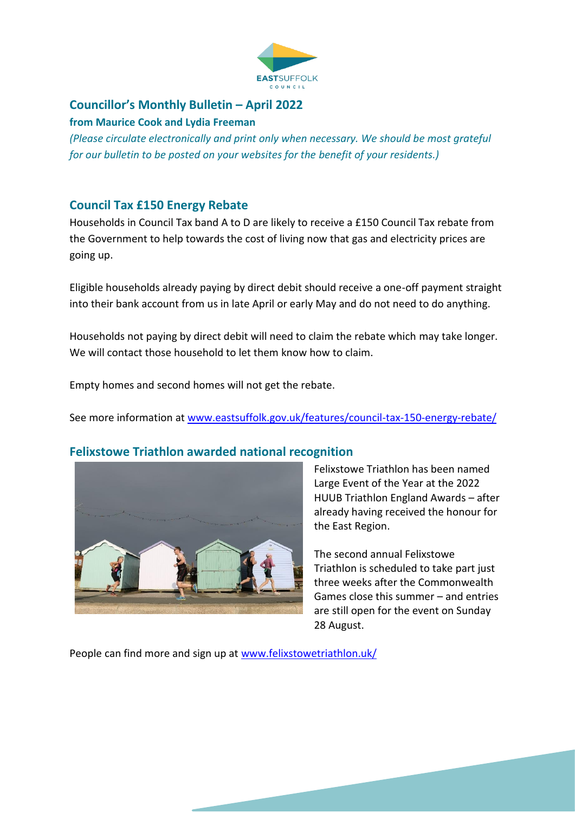

# **Councillor's Monthly Bulletin – April 2022**

#### **from Maurice Cook and Lydia Freeman**

*(Please circulate electronically and print only when necessary. We should be most grateful for our bulletin to be posted on your websites for the benefit of your residents.)*

## **Council Tax £150 Energy Rebate**

Households in Council Tax band A to D are likely to receive a £150 Council Tax rebate from the Government to help towards the cost of living now that gas and electricity prices are going up.

Eligible households already paying by direct debit should receive a one-off payment straight into their bank account from us in late April or early May and do not need to do anything.

Households not paying by direct debit will need to claim the rebate which may take longer. We will contact those household to let them know how to claim.

Empty homes and second homes will not get the rebate.

See more information at [www.eastsuffolk.gov.uk/features/council-tax-150-energy-rebate/](http://www.eastsuffolk.gov.uk/features/council-tax-150-energy-rebate/)

## **Felixstowe Triathlon awarded national recognition**



Felixstowe Triathlon has been named Large Event of the Year at the 2022 HUUB Triathlon England Awards – after already having received the honour for the East Region.

The second annual Felixstowe Triathlon is scheduled to take part just three weeks after the Commonwealth Games close this summer – and entries are still open for the event on Sunday 28 August.

People can find more and sign up at [www.felixstowetriathlon.uk/](http://www.felixstowetriathlon.uk/)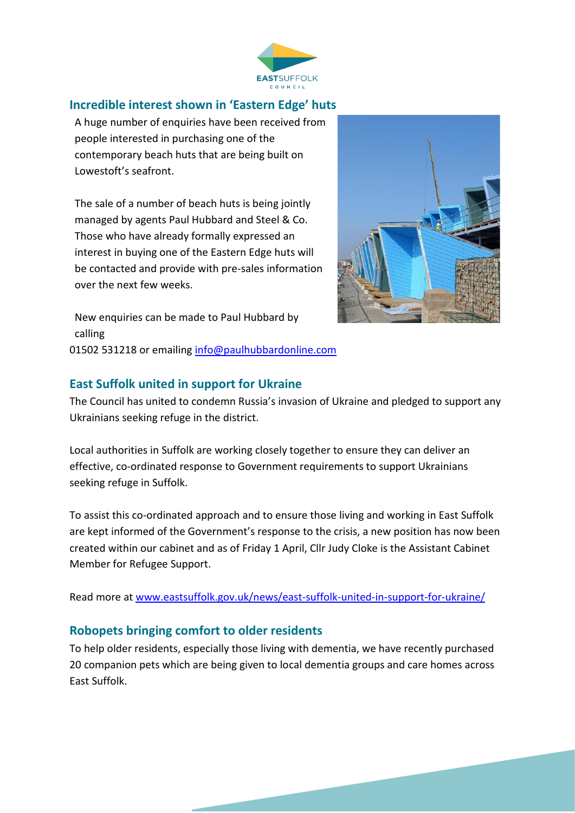

#### **Incredible interest shown in 'Eastern Edge' huts**

A huge number of enquiries have been received from people interested in purchasing one of the contemporary beach huts that are being built on Lowestoft's seafront.

The sale of a number of beach huts is being jointly managed by agents Paul Hubbard and Steel & Co. Those who have already formally expressed an interest in buying one of the Eastern Edge huts will be contacted and provide with pre-sales information over the next few weeks.



New enquiries can be made to Paul Hubbard by calling 01502 531218 or emailing [info@paulhubbardonline.com](mailto:info@paulhubbardonline.com)

## **East Suffolk united in support for Ukraine**

The Council has united to condemn Russia's invasion of Ukraine and pledged to support any Ukrainians seeking refuge in the district.

Local authorities in Suffolk are working closely together to ensure they can deliver an effective, co-ordinated response to Government requirements to support Ukrainians seeking refuge in Suffolk.

To assist this co-ordinated approach and to ensure those living and working in East Suffolk are kept informed of the Government's response to the crisis, a new position has now been created within our cabinet and as of Friday 1 April, Cllr Judy Cloke is the Assistant Cabinet Member for Refugee Support.

Read more at [www.eastsuffolk.gov.uk/news/east-suffolk-united-in-support-for-ukraine/](http://www.eastsuffolk.gov.uk/news/east-suffolk-united-in-support-for-ukraine/)

## **Robopets bringing comfort to older residents**

To help older residents, especially those living with dementia, we have recently purchased 20 companion pets which are being given to local dementia groups and care homes across East Suffolk.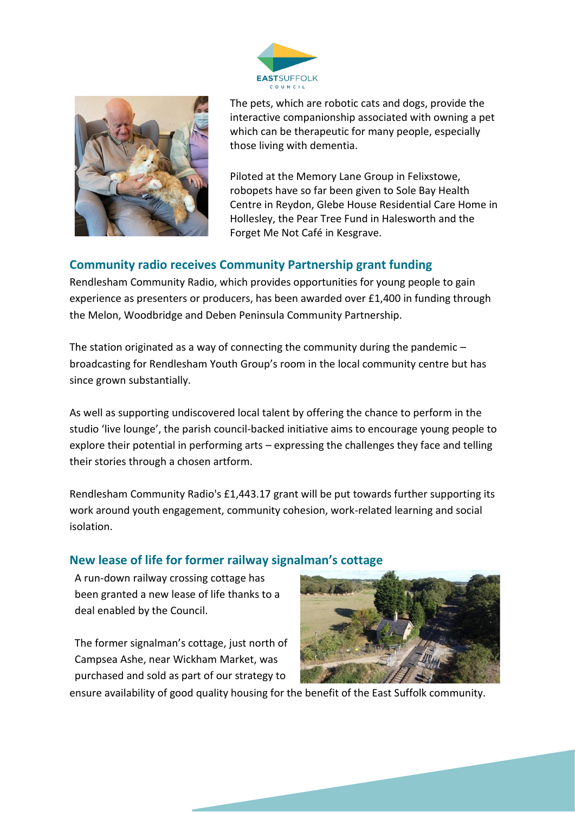



The pets, which are robotic cats and dogs, provide the interactive companionship associated with owning a pet which can be therapeutic for many people, especially those living with dementia.

Piloted at the Memory Lane Group in Felixstowe, robopets have so far been given to Sole Bay Health Centre in Reydon, Glebe House Residential Care Home in Hollesley, the Pear Tree Fund in Halesworth and the Forget Me Not Café in Kesgrave.

## **Community radio receives Community Partnership grant funding**

Rendlesham Community Radio, which provides opportunities for young people to gain experience as presenters or producers, has been awarded over £1,400 in funding through the Melon, Woodbridge and Deben Peninsula Community Partnership.

The station originated as a way of connecting the community during the pandemic  $$ broadcasting for Rendlesham Youth Group's room in the local community centre but has since grown substantially.

As well as supporting undiscovered local talent by offering the chance to perform in the studio 'live lounge', the parish council-backed initiative aims to encourage young people to explore their potential in performing arts – expressing the challenges they face and telling their stories through a chosen artform.

Rendlesham Community Radio's £1,443.17 grant will be put towards further supporting its work around youth engagement, community cohesion, work-related learning and social isolation.

## **New lease of life for former railway signalman's cottage**

A run-down railway crossing cottage has been granted a new lease of life thanks to a deal enabled by the Council.

The former signalman's cottage, just north of Campsea Ashe, near Wickham Market, was purchased and sold as part of our strategy to



ensure availability of good quality housing for the benefit of the East Suffolk community.